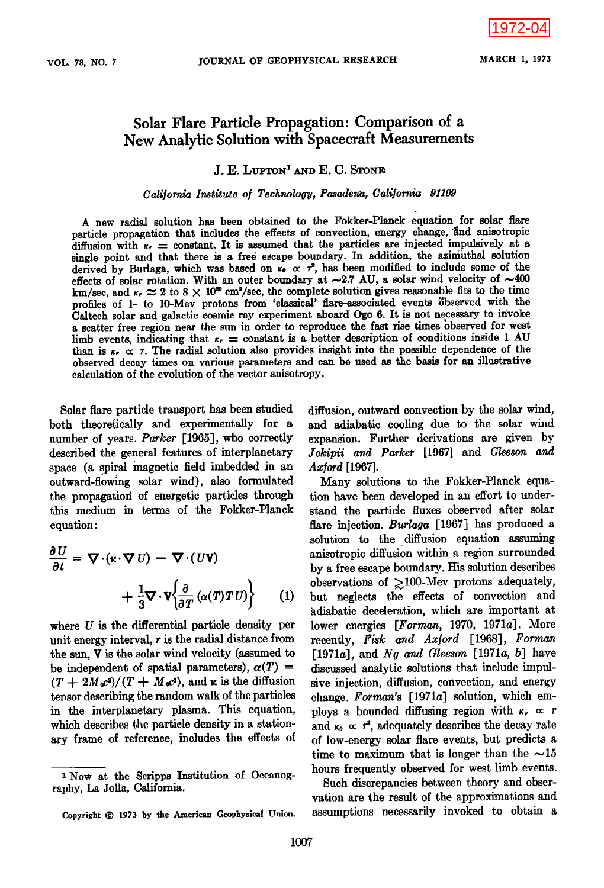# **Solar Flare Particle Propagation' Comparison of a New Analytic Solution with Spacecraft Measurements**

**J. E. LVPTON • AND E. C. STONE** 

California Institute of Technology, Pasadena, California 91109

**A new radial solution has been obtained to the Fokker-Plmack equation for solar flare**  particle propagation that includes the effects of convection, energy change, and anisotropic diffusion with  $\kappa_r$  = constant. It is assumed that the particles are injected impulsively at a single point and that there is a free escape boundary. In addition, the azimuthal solution derived by Burlaga, which was based on  $\kappa_0 \propto r^2$ , has been modified to include some of the effects of solar rotation. With an outer boundary at  $\sim$ 2.7 AU, a solar wind velocity of  $\sim$ 400 km/sec, and  $\kappa_r \approx 2$  to 8  $\times$  10<sup>th</sup> cm<sup>2</sup>/sec, the complete solution gives reasonable fits to the time profiles of 1- to 10-Mev protons from 'classical' flare-associated events observed with the Caltech solar and galactic cosmic ray experiment aboard Ogo 6. It is not necessary to invoke **a scatter free region near the sun in order to reproduce the fast rise times bbserved for west**  limb events, indicating that  $\kappa_r$  = constant is a better description of conditions inside 1 AU than is  $\kappa_r \propto r$ . The radial solution also provides insight into the possible dependence of the observed decay times on various parameters and can be used as the basis for an illustrative **calculation of the evolution of the vector anisotropy.** 

**Solar flare particle transport has been studied both theoretically and experimentally for a number of years. Parker [1965], who correctly described the general features of interplanetary**  space (a spiral magnetic field imbedded in an **outward-flowing solar wind), also formulated the propagatiori of energetic particles through this medium in terms of the Fokker-Planck**   $equation:$ 

$$
\frac{\partial U}{\partial t} = \nabla \cdot (\mathbf{k} \cdot \nabla U) - \nabla \cdot (U \mathbf{V}) + \frac{1}{3} \nabla \cdot \mathbf{V} \left\{ \frac{\partial}{\partial T} (\alpha(T) T U) \right\}
$$
(1)

**where U is the differential particle density per unit energy interval, r is the radial distance from the sun, V is the solar wind velocity (assumed to**  be independent of spatial parameters),  $\alpha(T)$  =  $(T + 2M_0c^2)/(T + M_0c^2)$ , and **k** is the diffusion **tensor describing the random walk of the particles in the interplanetary plasma. This equation, which describes the particle density in a stationary frame of reference, includes the effects of**  **diffusion, outward convection by the solar wind, and adiabatic cooling due to the solar wind expansion. Further derivations are given by Jokipii and Parker [1967] and Gleeson and**  Axford [1967].

**Many solutions to. the Fokker-Planck equation have been developed in an effort to understand the particle fluxes observed after solar flare injection. Burlaga [1967] has produced a solution to the diffusion equation assuming anisotropic diffusion within a region surrounded by a free escape boundary. His solution describes**  observations of  $\geq$ 100-Mev protons adequately, **but neglects the effects of convection and adiabatic deceleration, which are important at lower energies [Forman, 1970, 1971a]. More recently, Fisk and Ax[ord [1968], Forman [1971a], and Ng and Gleeson [1971a, b] have discussed analytic solutions that include impulsive injection, diffusion, convection, and energy change. Forman's [1971a] solution, which em**ploys a bounded diffusing region with  $\kappa_r \propto r$ and  $\kappa_{\theta} \propto r^2$ , adequately describes the decay rate **of low-energy solar flare events, but predicts a**  time to maximum that is longer than the  $\sim 15$ **hours frequently observed for west limb events.** 

**Such discrepancies between theory and observation are the result of the approximations and assumptions necessarily invoked to obtain a** 

**x Now at the Scripps Institution of Oceanography, La Jolla, California.** 

Copyright  $© 1973$  by the American Geophysical Union.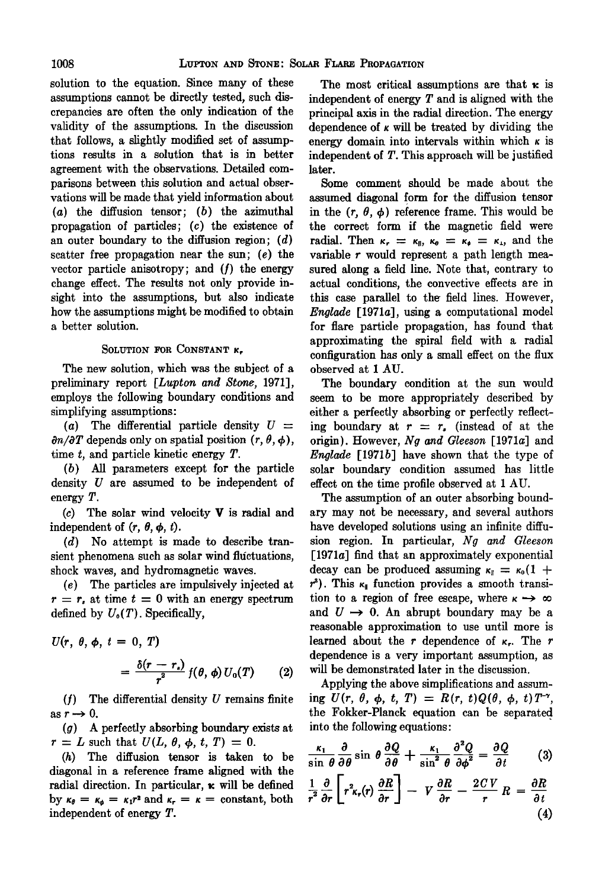**solution to the equation. Since many of these assumptions cannot be directly tested, such discrepancies are often the only indication of the validity of the assumptions. In the discussion that follows, a slightly modified set of assumptions results in a solution that is in better agreement with the observations. Detailed comparisons between this solution and actual observations will be made that yield information about (a) the diffusion tensor; (b) the azimuthal propagation of particles; (c) the existence of an outer boundary to the diffusion region; (d) scatter free propagation near the sun; (e) the vector particle anisotropy; and (f) the energy change effect. The results not only provide insight into the assumptions, but also indicate how the assumptions might be modified to obtain a better solution.** 

## SOLUTION FOR CONSTANT **K**.

**The new solution, which was the subject of a**  preliminary report [*Lupton and Stone*, 1971], **employs the following boundary conditions and simplifying assumptions:** 

(a) The differential particle density  $U =$  $\partial n/\partial T$  depends only on spatial position  $(r, \theta, \phi)$ , **time t, and particle kinetic energy T.** 

**(b) All parameters except for the particle density U are assumed to be independent of energy T.** 

**(c) The solar wind velocity V is radial and**  independent of  $(r, \theta, \phi, t)$ .

**(d) No attempt is made to describe tran**sient phenomena such as solar wind fluctuations, **shock waves, and hydromagnetic waves.** 

**(e) The particles are impulsively injected at**   $r = r_s$  at time  $t = 0$  with an energy spectrum defined by  $U_0(T)$ . Specifically,

 $U(r, \theta, \phi, t=0, T)$ 

$$
= \frac{\delta(r-r_s)}{r^2} f(\theta,\phi) U_0(T) \qquad (2)
$$

**(f) The differential density U remains finite**  as  $r \rightarrow 0$ .

**(g) A perfectly absorbing boundary exists at**   $r = L$  such that  $U(L, \theta, \phi, t, T) = 0$ .

**(h) The diffusion tensor is taken to be diagonal in a reference frame aligned with the**  radial direction. In particular,  $\kappa$  will be defined by  $\kappa_{\theta} = \kappa_{\phi} = \kappa_1 r^2$  and  $\kappa_{\tau} = \kappa = \text{constant}, \text{ both}$ **independent of energy T.** 

The most critical assumptions are that  $\kappa$  is **independent of energy T and is aligned with the principal axis in the radial direction. The energy**  dependence of  $\kappa$  will be treated by dividing the energy domain into intervals within which  $\kappa$  is **independent of T. This approach will be justified later.** 

**Some comment should be made about the assumed diagonal form for the diffusion tensor**  in the  $(r, \theta, \phi)$  reference frame. This would be **the correct form if the magnetic field were**  radial. Then  $\kappa_r = \kappa_{\parallel}, \kappa_{\theta} = \kappa_{\phi} = \kappa_{\perp},$  and the **variable r would represent a path length measured along a field line. Note that, contrary to actual conditions, the convective effects are in this case parallel to the-field lines. However, Englade [1971a], using a computational model for flare particle propagation, has found that approximating the spiral field with a radial configuration has only a small effect on the flux observed at I AU.** 

**The boundary condition at the sun would seem to be more appropriately described by either a perfectly absorbing or perfectly reflect**ing boundary at  $r = r$ , (instead of at the **origin). However, Ng and Gleeson [1971a] and Englade [1971b] have shown that the type of solar boundary condition assumed has little effect on the time profile observed at 1 AU.** 

**The assumption of an outer absorbing boundary may not be necessary, and several authors have developed solutions using an infinite diffusion region. In particular, Ng and Gleeson [1971a] find that an approximately exponential**  decay can be produced assuming  $\kappa_{\parallel} = \kappa_0 (1 +$  $r^2$ ). This  $\kappa_1$  function provides a smooth transition to a region of free escape, where  $\kappa \rightarrow \infty$ and  $U \rightarrow 0$ . An abrupt boundary may be a **reasonable approximation to use until more is**  learned about the  $r$  dependence of  $\kappa_r$ . The  $r$ **dependence is a very important assumption, as will be demonstrated later in the discussion.** 

**Applying the above simplifications and assum-** $\lim_{t \to \infty} U(r, \theta, \phi, t, T) = R(r, t)Q(\theta, \phi, t)T^{-\gamma}$ the Fokker-Planck equation can be separated **into the following equations:** 

$$
\frac{\kappa_1}{\sin \theta} \frac{\partial}{\partial \theta} \sin \theta \frac{\partial Q}{\partial \theta} + \frac{\kappa_1}{\sin^2 \theta} \frac{\partial^2 Q}{\partial \phi^2} = \frac{\partial Q}{\partial t} \qquad (3)
$$

$$
\frac{1}{r^2}\frac{\partial}{\partial r}\left[r^2{}_{K_r}(r)\frac{\partial R}{\partial r}\right] - V\frac{\partial R}{\partial r} - \frac{2CV}{r}R = \frac{\partial R}{\partial t} \tag{4}
$$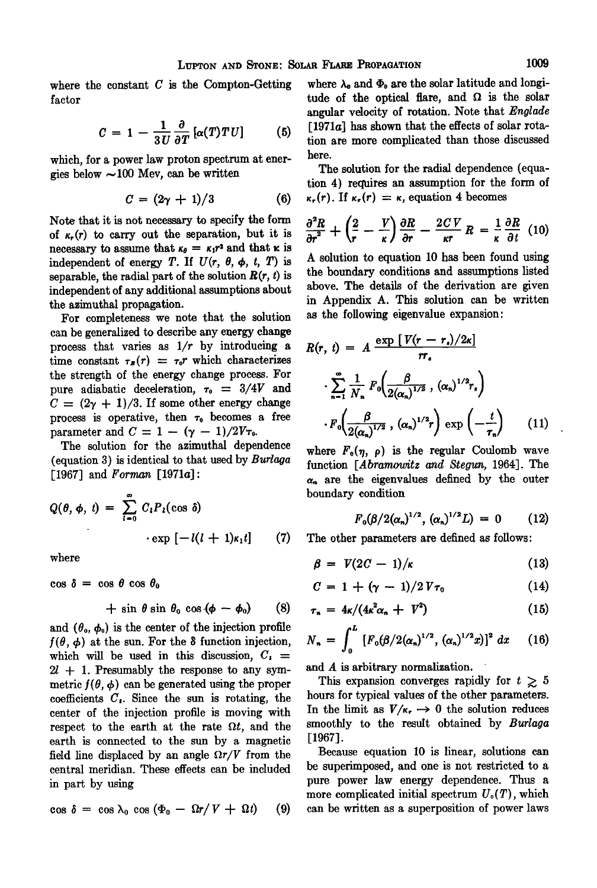**where the constant C is the Compton-Getting factor** 

$$
C = 1 - \frac{1}{3U} \frac{\partial}{\partial T} [\alpha(T) T U] \qquad (5)
$$

**which, for a power law proton spectrum at energies below ~ 100 Mev, can be written** 

$$
C = (2\gamma + 1)/3 \tag{6}
$$

**Note that it is not necessary to specify the form**  of  $\kappa_r(r)$  to carry out the separation, but it is necessary to assume that  $\kappa_{\theta} = \kappa_1 r^2$  and that  $\kappa$  is independent of energy T. If  $U(r, \theta, \phi, t, T)$  is separable, the radial part of the solution  $R(r, t)$  is independent of any additional assumptions about **the azimuthal propagation.** 

**For completeness we note that the solution can be generalized to describe any energy change process that varies as 1/r by introducing a**  time constant  $\tau_B(r) = \tau_0 r$  which characterizes **the strength of the energy change process. For**  pure adiabatic deceleration,  $\tau_0 = 3/4V$  and  $C = (2\gamma + 1)/3$ . If some other energy change process is operative, then  $\tau_0$  becomes a free **parameter and**  $C = 1 - (\gamma - 1)/2V\tau_0$ **.** 

**The solution for the azimuthal dependence (equation 3) is identical to that used by Burlaqa [1967] and Forman [1971a]:** 

$$
Q(\theta, \phi, t) = \sum_{i=0}^{\infty} C_i P_i(\cos \delta)
$$

$$
\cdot \exp\left[-l(l+1)\kappa_1 t\right] \qquad (7)
$$

$$
+\sin\theta\sin\theta_0\cos\left(\phi-\phi_0\right)\qquad(8)
$$

and  $(\theta_0, \phi_0)$  is the center of the injection profile  $f(\theta, \phi)$  at the sun. For the  $\delta$  function injection, which will be used in this discussion,  $C_i$  = **21 + 1. Presumably the response to any sym**metric  $f(\theta, \phi)$  can be generated using the proper **coefficients C,. Since the sun is rotating, the center of the injection profile is moving with**  respect to the earth at the rate  $\Omega t$ , and the **earth is connected to the sun by a magnetic**  field line displaced by an angle  $\Omega r/V$  from the **central meridian. These effects can be included in part by using** 

$$
\cos \delta = \cos \lambda_0 \cos (\Phi_0 - \Omega r / V + \Omega t) \qquad (9)
$$

where  $\lambda_0$  and  $\Phi_0$  are the solar latitude and longitude of the optical flare, and  $\Omega$  is the solar **angular velocity of rotation. Note that Enqlade [1971a] has shown that the effects of solar rotation are more complicated than those discussed here.** 

**The solution for the radial dependence (equation 4) requires an assumption for the form of**   $\kappa_r(r)$ . If  $\kappa_r(r) = \kappa$ , equation 4 becomes

$$
\frac{\partial^2 R}{\partial r^2} + \left(\frac{2}{r} - \frac{V}{\kappa}\right) \frac{\partial R}{\partial r} - \frac{2CV}{\kappa r} R = \frac{1}{\kappa} \frac{\partial R}{\partial t} \quad (10)
$$

**A solution to equation 10 has been found using the boundary conditions and assumptions listed above. The details of the derivation are given in Appendix A. This solution can be written as the following eigenvalue expansion:** 

$$
R(r, t) = A \frac{\exp\left[\frac{V(r - r_{\circ})/2\kappa\right]}{r r_{\circ}} \cdot \sum_{n=1}^{\infty} \frac{1}{N_n} F_0\left(\frac{\beta}{2(\alpha_n)^{1/2}}, (\alpha_n)^{1/2} r_{\circ}\right)
$$

$$
\cdot F_0\left(\frac{\beta}{2(\alpha_n)^{1/2}}, (\alpha_n)^{1/2} r\right) \exp\left(-\frac{t}{\tau_n}\right) \qquad (11)
$$

where  $F_o(\eta, \rho)$  is the regular Coulomb wave function [*Abramowitz and Stegun*, 1964]. The  $\alpha_n$  are the eigenvalues defined by the outer **boundary** condition

$$
F_0(\beta/2(\alpha_n)^{1/2},\,(\alpha_n)^{1/2}L) = 0 \qquad (12)
$$

The other parameters are defined as follows:

where 
$$
\beta = V(2C - 1)/\kappa
$$
 (13)

$$
\cos \delta = \cos \theta \cos \theta_0 \qquad \qquad C = 1 + (\gamma - 1)/2 V \tau_0 \qquad (14)
$$

$$
\tau_n = 4\kappa/(4\kappa^2\alpha_n + V^2) \tag{15}
$$

$$
N_n = \int_0^L \left[ F_0(\beta/2(\alpha_n)^{1/2}, (\alpha_n)^{1/2} x) \right]^2 dx \qquad (16)
$$

**and A is arbitrary normalization.** 

This expansion converges rapidly for  $t \geq 5$ **hours for typical values of the other parameters.**  In the limit as  $V/\kappa_r \rightarrow 0$  the solution reduces **smoothly to the result obtained by Burlaqa [1967].** 

**Because equation 10 is linear, solutions can be superimposed, and one is not restricted to a pure power law energy dependence. Thus a**  more complicated initial spectrum  $U_0(T)$ , which **can be written as a superposition of power laws**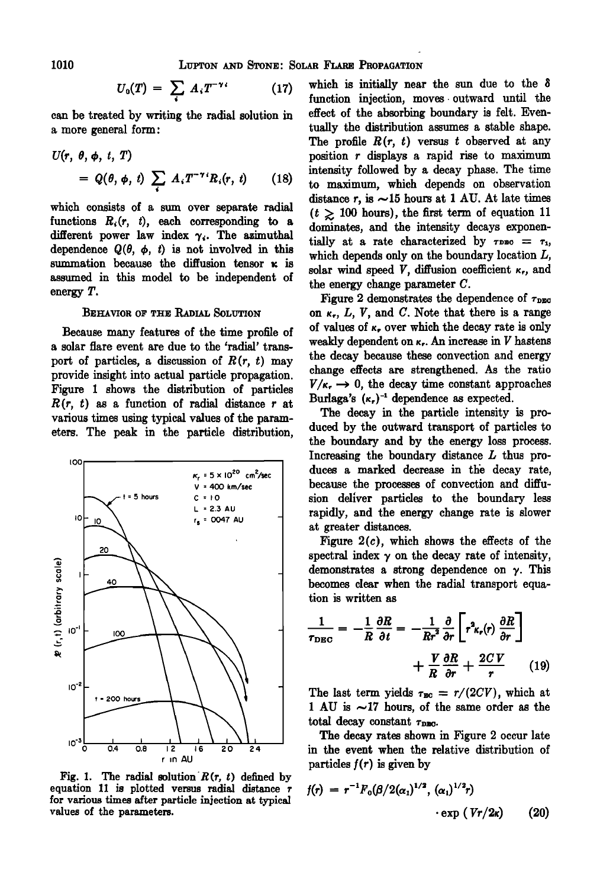$$
U_0(T) = \sum_i A_i T^{-\gamma_i} \qquad (17)
$$

**can be treated by writing the radial solution in a more general form'** 

$$
U(r, \theta, \phi, t, T)
$$
  
=  $Q(\theta, \phi, t) \sum_i A_i T^{-\tau} R_i(r, t)$  (18)

which consists of a sum over separate radial functions  $R_i(r, t)$ , each corresponding to a different power law index  $\gamma_i$ . The azimuthal dependence  $Q(\theta, \phi, t)$  is not involved in this summation because the diffusion tensor  $\kappa$  is **assumed in this model to be independent of energy T.** 

#### **BEHAVIOR OF THE RADIAL SOLUTION**

**Because many features of the time profile of a solar flare event are due to the 'radial' transport of particles, a discussion of R(r, t) may provide insight into actual particle propagation. Figure 1 shows the distribution of particles**   $R(r, t)$  as a function of radial distance  $r$  at **various times using typical values of the parameters. The peak in the particle distribution,** 



Fig. 1. The radial solution  $R(r, t)$  defined by **equation 11 is plotted versus radial distance r for various times after particle injection at typical values of the parameters.** 

**which is initially near the sun due to the function injection, moves. outward until the effect of the absorbing boundary is felt. Even**tually the distribution assumes a stable shape. **The profile R(r, t) versus t observed at any position r displays a rapid rise to maximum intensity followed by a decay phase. The time to maximum, which depends on observation**  distance  $r$ , is  $\sim$ 15 hours at 1 AU. At late times  $(t \geq 100$  hours), the first term of equation 11 **dominates, and the intensity decays exponen**tially at a rate characterized by  $\tau_{\text{DBO}} = \tau_{1}$ , **which depends only on the boundary location L,**  solar wind speed  $V$ , diffusion coefficient  $\kappa_r$ , and **the energy change parameter C.** 

**Figure 2 demonstrates the dependence of**  $\tau_{\text{pma}}$ on  $\kappa_r$ ,  $L$ ,  $V$ , and  $C$ . Note that there is a range of values of  $\kappa$ , over which the decay rate is only **weakly dependent on •. An increase in V hastens the decay because these convection and energy change effects are strengthened. As the ratio**   $V/\kappa \rightarrow 0$ , the decay time constant approaches Burlaga's  $(\kappa_{\tau})^{-1}$  dependence as expected.

**The decay in the particle intensity is produced by the outward transport of particles to the boundary and by the energy loss process. Increasing the boundary distance L thus pro**duces a marked decrease in the decay rate, **because the processes of convection and diffusion deliver particles to the boundary less rapidly, and the energy change rate is slower at greater distances.** 

**Figure 2(c), which shows the effects of the**  spectral index  $\gamma$  on the decay rate of intensity, **demonstrates a strong dependence on 7. This becomes clear when the radial transport equation is written as** 

$$
\frac{1}{\tau_{\text{DEC}}} = -\frac{1}{R} \frac{\partial R}{\partial t} = -\frac{1}{Rr^2} \frac{\partial}{\partial r} \left[ r^2 \kappa_r(r) \frac{\partial R}{\partial r} \right] + \frac{V}{R} \frac{\partial R}{\partial r} + \frac{2CV}{r} \qquad (19)
$$

The last term yields  $\tau_{BC} = r/(2CV)$ , which at **1 AU is ~17 hours, of the same order as the**  total decay constant  $\tau_{\texttt{DMO}}$ .

**The decay rates shown in Figure 2 occur late in the event when the relative distribution of**  particles  $f(r)$  is given by

$$
f(r) = r^{-1} F_0(\beta/2(\alpha_1)^{1/2}, (\alpha_1)^{1/2}r) \cdot \exp (Vr/2\kappa)
$$
 (20)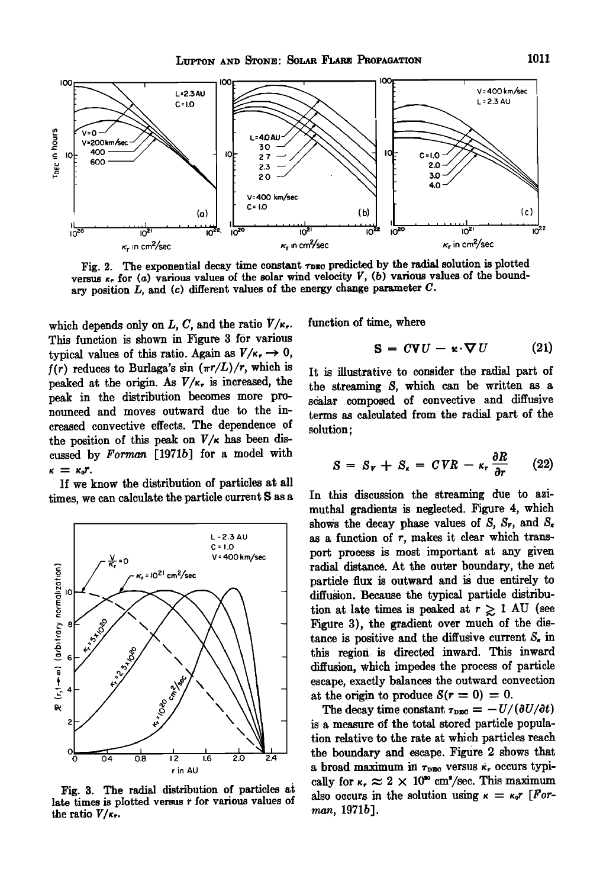

Fig. 2. The exponential decay time constant  $\tau_{\text{DEO}}$  predicted by the radial solution is plotted versus  $\kappa_r$  for (*a*) various values of the solar wind velocity  $V$ , (*b*) various values of the bound**ary position L, and (c) different values of the energy change parameter C.** 

which depends only on  $L, C$ , and the ratio  $V/\kappa_r$ . This function is shown in Figure 3 for various typical values of this ratio. Again as  $V/\kappa \to 0$ ,  $f(r)$  reduces to Burlaga's sin  $(\pi r/L)/r$ , which is peaked at the origin. As  $V/\kappa_r$  is increased, the **peak in the distribution becomes more pronounced and moves outward due to the increased convective effects. The dependence of**  the position of this peak on  $V/\kappa$  has been dis**cussed by Forman [1971b] for a model with**   $\kappa = \kappa_0 r$ .

**]f we know the distribution of particles at all times, we can calculate the particle current S as a** 



Fig. 3. The radial distribution of particles at **late times is plotted versus r for various values of**  the ratio  $V/\kappa_r$ .

**function of time, where** 

$$
S = CVU - \kappa \cdot \nabla U \qquad (21)
$$

**It is illustrative to consider the radial part of the streaming \$, which can be written as a**  scalar composed of convective and diffusive **terms as calculated from the radial part of the solution;** 

$$
S = S_{\nu} + S_{\kappa} = CVR - \kappa_r \frac{\partial R}{\partial r} \qquad (22)
$$

**In this discussion the streaming due to azimuthal gradients is neglected. Figure 4, which**  shows the decay phase values of  $S$ ,  $S_r$ , and  $S_s$ **as a function of r, makes it clear which transport process is most important at any given radial distance. At the outer boundary, the net particle flux is outward and is due entirely to diffusion. Because the typical particle disiribu**tion at late times is peaked at  $r \gtrsim 1$  AU (see **Figure 3), the gradient over much of the dis**tance is positive and the diffusive current  $S_{\kappa}$  in **this region is directed inward. This inward diffUSion, which impedes the process of particle escape, exactly balances the outward convection**  at the origin to produce  $S(r = 0) = 0$ .

The decay time constant  $\tau_{\text{DEO}} = -U/(\partial U/\partial t)$ **is a measure of the total stored particle population relative to the rate at which particles reach the boiindary and escape. Figure 2 shows that**  a broad maximum in  $\tau_{\text{DEC}}$  versus  $\kappa$ , occurs typically for  $\kappa_r \approx 2 \times 10^{36}$  cm<sup>2</sup>/sec. This maximum also occurs in the solution using  $\kappa = \kappa_0 r$  [For**man, 1971b].**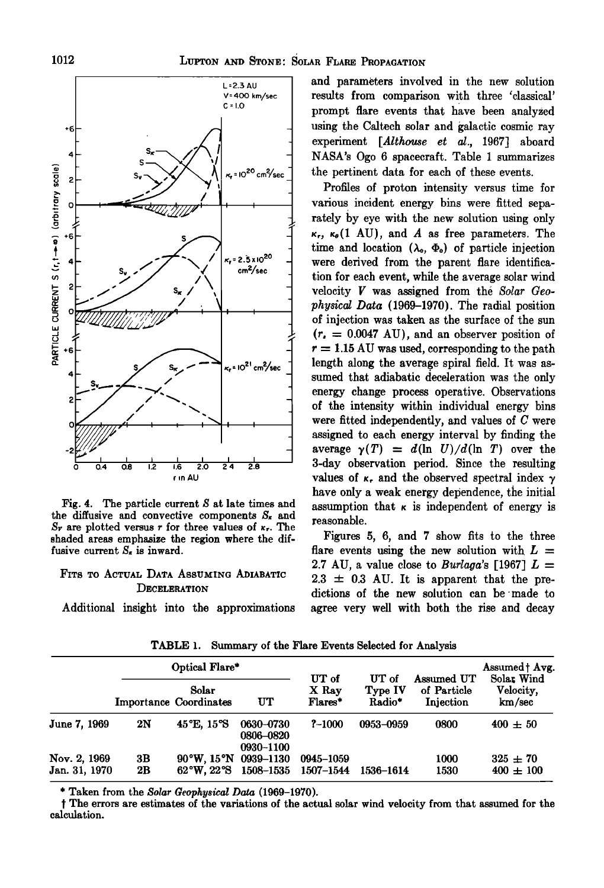

**Fig. 4. The particle current S at late times and**  the diffusive and convective components  $S_{\kappa}$  and  $S_r$  are plotted versus r for three values of  $\kappa_r$ . The **shaded areas emphasize the region where the dif**fusive current  $S_n$  is inward.

# **FITS TO ACTUAL DATA ASSUMING ADIABATIC DECELERATION**

**Additional insight into the approximations** 

**and parameters involved in the new solution results from comparison with three 'classical' prompt flare events that have been analyzed using the Caltech solar and galactic cosmic ray experiment [Altheuse et al., 1967] aboard NASA's Ogo 6 spacecraft, Table 1 summarizes the pertinent data for each of these events.** 

**Profiles of proton intensity versus time for various incident energy bins were fitted separately by eye with the new solution using only**   $\kappa_r$ ,  $\kappa_{\theta}$  (1 AU), and A as free parameters. The time and location  $(\lambda_0, \Phi_0)$  of particle injection **were derived from the parent flare identification for each event, while the average solar wind velocity V was assigned from the Solar Geophysical Data (i969-1970). The radial position of injection was taken as the surface of the sun**   $(r_{\rm s} = 0.0047 \text{ AU})$ , and an observer position of  $r = 1.15 \text{ AU}$  was used, corresponding to the path **length along the average spiral field. It was assumed that adiabatic deceleration was the only**  energy change process operative. Observations **of the intensity within individual energy bins were fitted independently, and values of C were assigned to each energy interval by finding the**  average  $\gamma(T) = d(\ln U)/d(\ln T)$  over the **3-day observation period. Since the resulting**  values of  $\kappa_r$  and the observed spectral index  $\gamma$ **have only a weak energy dependence, the initial**  assumption that  $\kappa$  is independent of energy is **reasonable.** 

**Figures 5, 6, and 7 show fits to the three**  flare events using the new solution with  $L =$ 2.7 AU, a value close to *Burlaga*'s [1967]  $L =$  $2.3 \pm 0.3$  AU. It is apparent that the pre**dictions of the new solution can be 'made to agree very well with both the rise and decay** 

|                               | Optical Flare* |                                                                            |                                     | UT of                  |                            |                                        | Assumed   Avg.                    |
|-------------------------------|----------------|----------------------------------------------------------------------------|-------------------------------------|------------------------|----------------------------|----------------------------------------|-----------------------------------|
|                               |                | Solar<br><b>Importance Coordinates</b>                                     | UT.                                 | X Rav<br>Flares*       | UT of<br>Type IV<br>Radio* | Assumed UT<br>of Particle<br>Injection | Solar Wind<br>Velocity,<br>km/sec |
| June 7, 1969                  | 2N             | 45°E, 15°S                                                                 | 0630-0730<br>0806-0820<br>0930-1100 | $? - 1000$             | 0953-0959                  | 0800                                   | $400 \pm 50$                      |
| Nov. 2, 1969<br>Jan. 31, 1970 | 3B<br>2В       | $90^{\circ}$ W, $15^{\circ}$ N 0939-1130<br>$62^{\circ}$ W. $22^{\circ}$ S | 1508–1535                           | 0945–1059<br>1507–1544 | 1536-1614                  | 1000<br>1530                           | $325 \pm 70$<br>$400 \pm 100$     |

**TABLE 1. Summary of the Flare Events Selected for Analysis** 

**\* Taken from the Solar Geophysical Data (1969-1970).** 

**t The errors are estimates of the variations of the actual solar wind velocity from that assumed for the calculation.**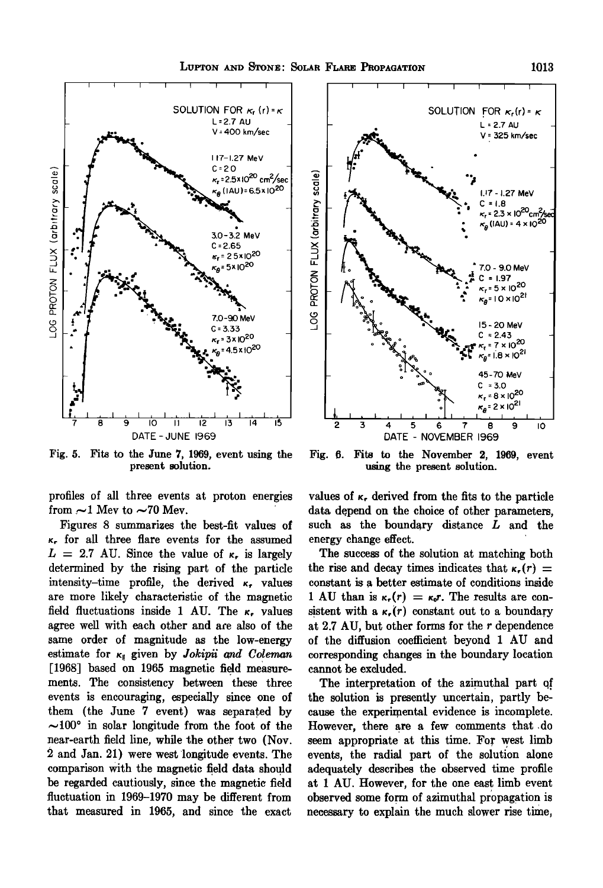



Fig. 5. Fits to the June 7, 1969, event using the present solution.

profiles of all three events at proton energies from  $\sim$ 1 Mev to  $\sim$ 70 Mev.

Figures 8 summarizes the best-fit values of  $\kappa$ , for all three flare events for the assumed  $L = 2.7$  AU. Since the value of  $\kappa$ , is largely determined by the rising part of the particle intensity-time profile, the derived  $\kappa$ , values are more likely characteristic of the magnetic field fluctuations inside 1 AU. The  $\kappa$ , values agree well with each other and are also of the same order of magnitude as the low-energy estimate for  $\kappa_{\parallel}$  given by *Jokipii* and *Coleman* [1968] based on 1965 magnetic field measurements. The consistency between these three events is encouraging, especially since one of them (the June 7 event) was separated by  $\sim$ 100° in solar longitude from the foot of the near-earth field line, while the other two (Nov. 2 and Jan. 21) were west longitude events. The comparison with the magnetic field data should be regarded cautiously, since the magnetic field fluctuation in 1969-1970 may be different from that measured in 1965, and since the exact



Fig. 6. Fits to the November 2, 1969, event using the present solution.

values of  $\kappa$ , derived from the fits to the particle data depend on the choice of other parameters. such as the boundary distance L and the energy change effect.

The success of the solution at matching both the rise and decay times indicates that  $\kappa_r(r)$  = constant is a better estimate of conditions inside 1 AU than is  $\kappa_r(r) = \kappa_0 r$ . The results are consistent with a  $\kappa_r(r)$  constant out to a boundary at  $2.7$  AU, but other forms for the  $r$  dependence of the diffusion coefficient beyond 1 AU and corresponding changes in the boundary location cannot be excluded.

The interpretation of the azimuthal part of the solution is presently uncertain, partly because the experimental evidence is incomplete. However, there are a few comments that do seem appropriate at this time. For west limb events, the radial part of the solution alone adequately describes the observed time profile at 1 AU. However, for the one east limb event observed some form of azimuthal propagation is necessary to explain the much slower rise time,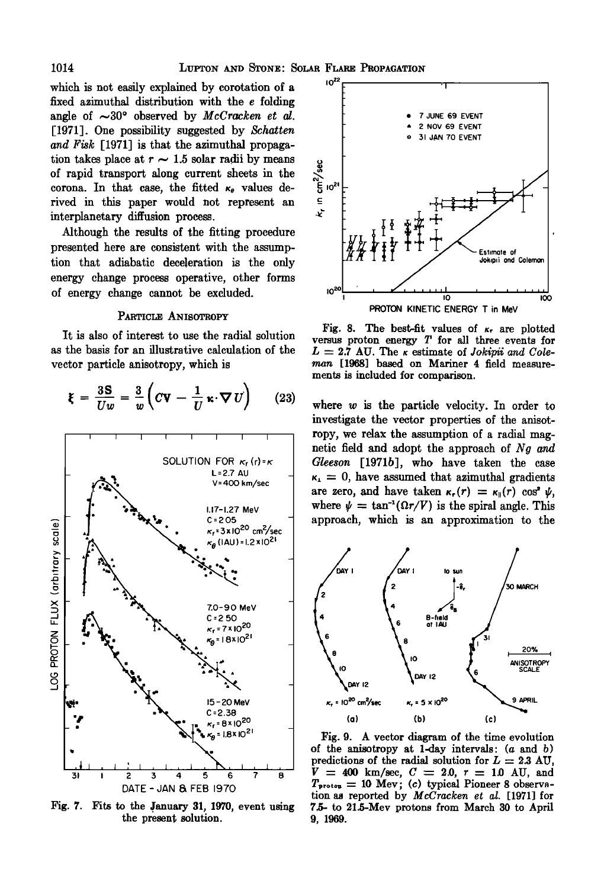which is not easily explained by corotation of a fixed azimuthal distribution with the e folding angle of  $\sim 30^{\circ}$  observed by *McCracken et al.* [1971]. One possibility suggested by Schatten and Fisk [1971] is that the azimuthal propagation takes place at  $r \sim 1.5$  solar radii by means of rapid transport along current sheets in the corona. In that case, the fitted  $\kappa_{\theta}$  values derived in this paper would not represent an interplanetary diffusion process.

Although the results of the fitting procedure presented here are consistent with the assumption that adiabatic deceleration is the only energy change process operative, other forms of energy change cannot be excluded.

## PARTICLE ANISOTROPY

It is also of interest to use the radial solution as the basis for an illustrative calculation of the vector particle anisotropy, which is

$$
\xi = \frac{3S}{Uw} = \frac{3}{w} \left( C \mathbf{V} - \frac{1}{U} \kappa \cdot \nabla U \right) \qquad (23)
$$



Fig. 7. Fits to the January 31, 1970, event using the present solution.



Fig. 8. The best-fit values of  $\kappa$ , are plotted versus proton energy  $T$  for all three events for  $L = 2.7$  AU. The  $\kappa$  estimate of Jokipii and Coleman [1968] based on Mariner 4 field measurements is included for comparison.

where  $w$  is the particle velocity. In order to investigate the vector properties of the anisotropy, we relax the assumption of a radial magnetic field and adopt the approach of Ng and Gleeson [1971b], who have taken the case  $\kappa_1 = 0$ , have assumed that azimuthal gradients are zero, and have taken  $\kappa_r(r) = \kappa_{\parallel}(r) \cos^2 \psi$ , where  $\psi = \tan^{-1}(\Omega r/V)$  is the spiral angle. This approach, which is an approximation to the



Fig. 9. A vector diagram of the time evolution of the anisotropy at 1-day intervals:  $(a \text{ and } b)$ predictions of the radial solution for  $L = 2.3$  AU,  $V = 400$  km/sec,  $C = 2.0$ ,  $r = 1.0$  AU, and  $T_{\text{proton}} = 10$  Mev; (c) typical Pioneer 8 observation as reported by McCracken et al. [1971] for 7.5- to 21.5-Mev protons from March 30 to April 9, 1969.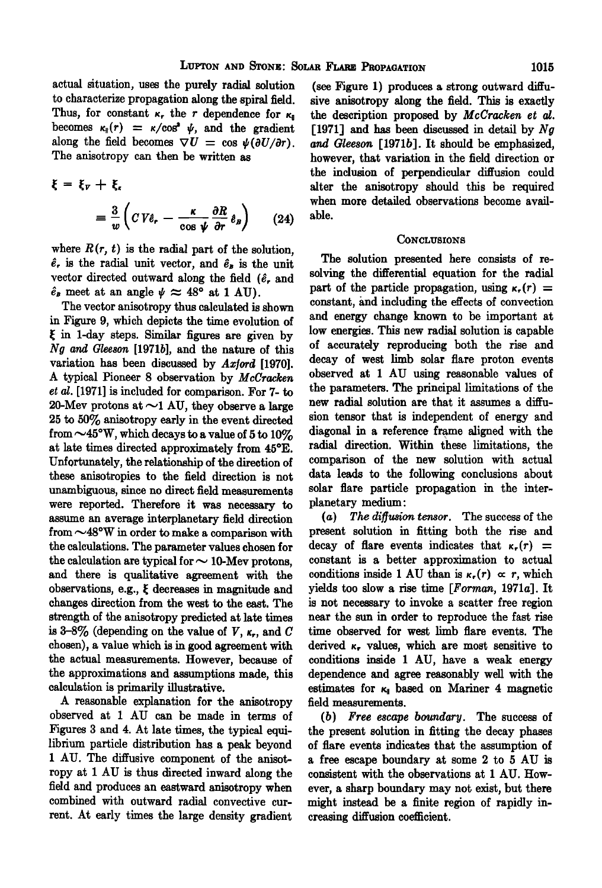**actual situation, uses the purely radial solution to characterize propagation along the spiral field.**  Thus, for constant  $\kappa_r$  the r dependence for  $\kappa_s$ becomes  $\kappa_{\parallel}(r) = \kappa / \cos^2 \psi$ , and the gradient along the field becomes  $\nabla U = \cos \psi (\partial U/\partial r)$ . **The anisotropy can then be written as** 

$$
\xi = \xi_{\nu} + \xi_{\kappa}
$$
  
=  $\frac{3}{w} \left( C V \hat{e}_{\kappa} - \frac{\kappa}{\cos \psi} \frac{\partial R}{\partial r} \hat{e}_{B} \right)$  (24)

where  $R(r, t)$  is the radial part of the solution,  $\hat{e}_r$  is the radial unit vector, and  $\hat{e}_s$  is the unit vector directed outward along the field ( $\hat{e}$ , and  $\hat{e}_B$  meet at an angle  $\psi \approx 48^\circ$  at 1 AU).

**The vector anisotropy thus calculated is shown**  in Figure 9, which depicts the time evolution of **• in 1-day steps. Similar figures am given by N• and Gkeson [1971b], and the nature of this variation has been discussed by Ax/ord [1970].**  A typical Pioneer 8 observation by *McCracken* **et al. [1971] is included for comparison. For 7- to**  20-Mev protons at  $\sim$ 1 AU, they observe a large **25 • 50% anisotropy early in the event directed from •45•W, which decays to a value of 5 to 10%**  at late times directed approximately from 45°E. Unfortunately, the relationship of the direction of these anisotropies to the field direction is not unambiguous, since no direct field measurements were reported. Therefore it was necessary to assume an average interplanetary field direction **from •48•W in order to make a comparison with the calculations. The parameter values chosen for**  the calculation are typical for  $\sim$  10-Mev protons, and there is qualitative agreement with the observations, e.g.,  $\xi$  decreases in magnitude and **changes direction from the west to the east. The strength of the anisotropy predicted at late times**  is  $3-8\%$  (depending on the value of V,  $\kappa_r$ , and C **chosen), avalue which is in good agreement with the actual measurements. However, because of**  the approximations and assumptions made, this calculation is primarily illustrative.

**A reasonable explanation for the anisotropy**  observed at 1 AU can be made in terms of Figures 3 and 4. At late times, the typical equilibrium particle distribution has a peak beyond 1 AU. The diffusive component of the anisotropy at 1 AU is thus directed inward along the field and produces an eastward anisotropy when combined with outward radial convective current. At early times the large density gradient

**(see Figure 1) produces a strong outward diffusive anisotropy along the field. This is exactly the description proposed by McCracken et al. [1971] and has been discussed in detail by Ng and Gleeson [1971b]. It should be emphasized, however, that variation in the field direction or the inclusion of perpendicular diffusion could alter the anisotropy should this be required when more detailed observations become available.** 

#### **CONCLUSIONS**

**The solution presented here consists of resolving the differential equation for the radial**  part of the particle propagation, using  $\kappa_r(r)$  = constant, and including the effects of convection **and energy change known to be important at low energies. This new radial solution is capable of accurately reproducing both •he rise and decay of west limb solar flare proton events observed at i AU using reasonable values of the parameters. The principal limitations of the new radial solution are that it assumes a diffusion tensor that is independent of energy and diagonal in a reference frame aligned with the radial direction. Within these limitations, the comparison of the new solution with actual data leads to the following conclusions about solar flare particle propagation in the interplanetary medium:** 

(a) The diffusion tensor. The success of the **present solution in fitting both the rise and**  decay of flare events indicates that  $\kappa_r(r)$  = **constant is a better approximation to actual**  conditions inside 1 AU than is  $\kappa_r(r) \propto r$ , which **yields too slow a rise time [Forman, 1971a]. It is not necessary to invoke a scatter free region near the sun in order to reproduce the fast rise time observed for west limb flare events. The**  derived  $\kappa$ , values, which are most sensitive to **conditions inside I AU, have a weak energy dependence and agree reasonably well with the**  estimates for  $\kappa_{\parallel}$  based on Mariner 4 magnetic **field measurements.** 

**( b ) Free escape boundary. The success of the present solution in fitting the decay phases of flare events indicates that the assumption of a free escape boundary at some 2 to 5 AU is consistent with the observations at I AU. However, a sharp boundary may not exist, but there might instead be a finite region of rapidly increasing diffusion coefficient.**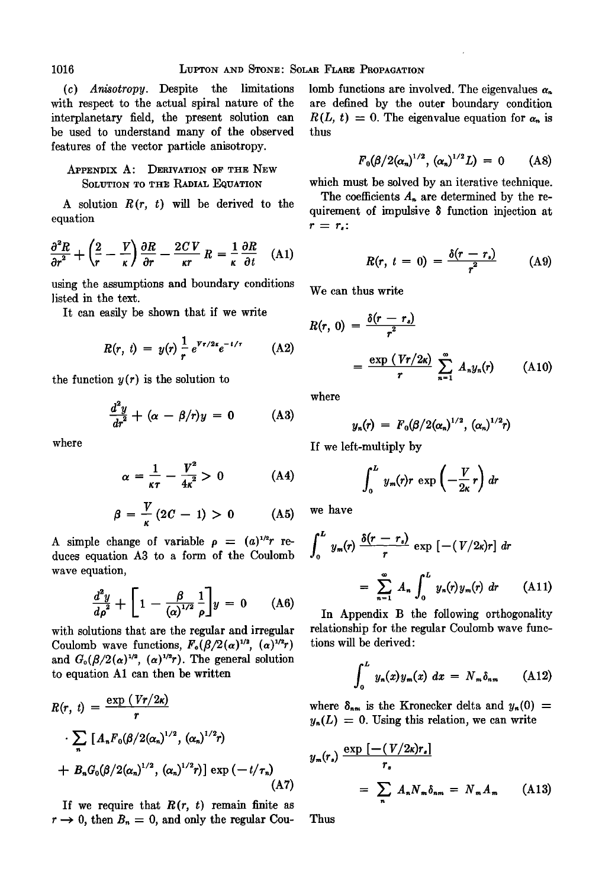**(c) Anisotropy. Despite the limitations with respect to the actual spiral nature of the interplanetary field, the present solution can be used to understand many of the observed features of the vector particle anisotropy.** 

# **APPENDIX A: DERIVATION OF THE NEW SOLUTION TO THE RADIAL EQUATION**

A solution  $R(r, t)$  will be derived to the **equation** 

$$
\frac{\partial^2 R}{\partial r^2} + \left(\frac{2}{r} - \frac{V}{\kappa}\right) \frac{\partial R}{\partial r} - \frac{2CV}{\kappa r} R = \frac{1}{\kappa} \frac{\partial R}{\partial t} \quad (A1)
$$

**using the assumptions and boundary conditions Ilsted in the text.** 

**It can easily be shown that if we write** 

$$
R(r, t) = y(r) \frac{1}{r} e^{v_r/2x} e^{-t/\tau}
$$
 (A2)

the function  $y(r)$  is the solution to

$$
\frac{d^2y}{dr^2} + (\alpha - \beta/r)y = 0 \qquad (A3)
$$

**where** 

$$
\alpha = \frac{1}{\kappa \tau} - \frac{V^2}{4\kappa^2} > 0 \tag{A4}
$$

$$
\beta = \frac{V}{\kappa} (2C - 1) > 0 \qquad \text{(A5)} \quad
$$

A simple change of variable  $\rho = (a)^{1/2}r$  re**duces equation A3 to a form of the Coulomb wave equation,** 

$$
\frac{d^2y}{d\rho^2} + \left[1 - \frac{\beta}{(\alpha)^{1/2}} \frac{1}{\rho}\right]y = 0 \quad (A6)
$$

**with solutions that are the regular and irregular**  Coulomb wave functions,  $F_o(\beta/2(\alpha)^{1/2}, (\alpha)^{1/2}r)$ and  $G_0(\beta/2(\alpha)^{1/2}, (\alpha)^{1/2}r)$ . The general solution **to equation A1 can then be written** 

$$
R(r, t) = \frac{\exp(Vr/2\kappa)}{r}
$$
  
 
$$
\cdot \sum_{n} [A_{n}F_{0}(\beta/2(\alpha_{n})^{1/2}, (\alpha_{n})^{1/2}r)
$$
  
 
$$
+ B_{n}G_{0}(\beta/2(\alpha_{n})^{1/2}, (\alpha_{n})^{1/2}r)] \exp(-t/\tau_{n})
$$
(A7)

If we require that  $R(r, t)$  remain finite as  $r \rightarrow 0$ , then  $B_n = 0$ , and only the regular Coulomb functions are involved. The eigenvalues  $\alpha_n$ **are defined by the outer boundary condition**   $R(L, t) = 0$ . The eigenvalue equation for  $\alpha_n$  is **thus** 

$$
F_0(\beta/2(\alpha_n)^{1/2}, (\alpha_n)^{1/2}L) = 0 \qquad (A8)
$$

**which must be solved by an iterative technique.** 

The coefficients  $A_n$  are determined by the requirement of impulsive  $\delta$  function injection at  $r = r_{\epsilon}$ :

$$
R(r, t = 0) = \frac{\delta(r - r_s)}{r^2}
$$
 (A9)

**We can thus write** 

$$
R(r, 0) = \frac{\delta(r - r_s)}{r^2}
$$
  
= 
$$
\frac{\exp (Vr/2\kappa)}{r} \sum_{n=1}^{\infty} A_n y_n(r)
$$
 (A10)

**where** 

$$
y_n(r) = F_0(\beta/2(\alpha_n)^{1/2}, (\alpha_n)^{1/2}r)
$$

**If we left-multiply by** 

$$
\int_0^L y_m(r)r \exp\left(-\frac{V}{2\kappa}r\right)dr
$$

**we have** 

$$
\int_0^L y_m(r) \frac{\delta(r-r_s)}{r} \exp\left[-(V/2\kappa)r\right] dr
$$

$$
= \sum_{n=1}^\infty A_n \int_0^L y_n(r) y_m(r) dr \qquad (A11)
$$

**In Appendix B the following orthogonality relationship for the regular Coulomb wave func**tions will be derived:

$$
\int_0^L y_n(x) y_m(x) \ dx = N_m \delta_{nm} \qquad (A12)
$$

where  $\delta_{nm}$  is the Kronecker delta and  $y_n(0)$  =  $y_n(L) = 0$ . Using this relation, we can write

$$
y_{m}(r_{s}) \frac{\exp\left[-(V/2\kappa)r_{s}\right]}{r_{s}}
$$

$$
= \sum_{n} A_{n} N_{m} \delta_{nm} = N_{m} A_{m} \qquad (A13)
$$

**Thus**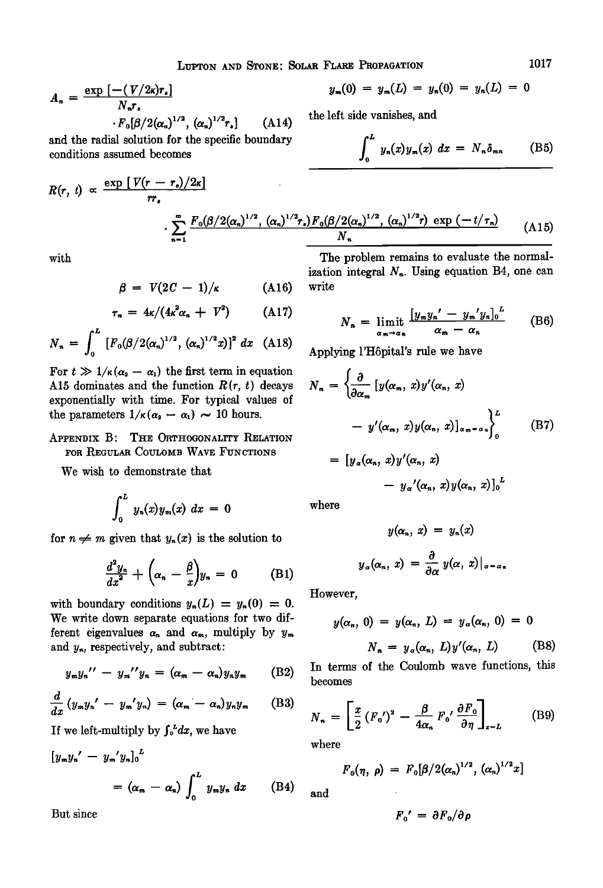LUPTON AND STONE: SOLAR FLARE PROPAGATION 1017

$$
A_n = \frac{\exp\left[-(V/2\kappa)r_{\bullet}\right]}{N_n r_{\bullet}}
$$

 $\cdot F_{0}[\beta/2(\alpha_{n})^{1/2}, (\alpha_{n})^{1/2}r_{n}]$  (A14) **and the radial solution for the specific boundary conditions assumed becomes** 

$$
R(r, t) \propto \frac{\exp [V(r - r_{\ast})/2\kappa]}{rr_{\ast}} \cdot \sum_{n=1}^{\infty} \frac{F_0(\beta/2(\alpha_n)^{1/2}, (\alpha_n)^{1/2}r_{\ast})F_0(\beta/2(\alpha_n)^{1/2}, (\alpha_n)^{1/2}r)}{N_n} \exp(-t/\tau_n)
$$
(A15)

**with** 

$$
\beta = V(2C - 1)/\kappa \qquad \text{(A16)}
$$

$$
\tau_n = 4\kappa/(4\kappa^2\alpha_n + V^2) \qquad \text{(A17)}
$$

$$
N_n = \int_0^L \left[ F_0(\beta/2(\alpha_n)^{1/2}, (\alpha_n)^{1/2} x) \right]^2 dx \quad \text{(A18)}
$$

For  $t \gg 1/\kappa (\alpha_2 - \alpha_1)$  the first term in equation A15 dominates and the function  $R(r, t)$  decays **exponentially with time. For typical values of**  the parameters  $1/\kappa(\alpha_2 - \alpha_1) \sim 10$  hours.

**APPENDIX B: THE ORTHOGONALITY RELATION FOR REGULAR COULOMB WAVE FUNCTIONS** 

**We wish to demonstrate that** 

$$
\int_0^L y_n(x) y_m(x) \ dx = 0
$$

for  $n \neq m$  given that  $y_n(x)$  is the solution to

$$
\frac{d^2y_n}{dx^2} + \left(\alpha_n - \frac{\beta}{x}\right)y_n = 0 \quad \text{(B1)}
$$

with boundary conditions  $y_n(L) = y_n(0) = 0$ . **We write down separate equations for two dif**ferent eigenvalues  $\alpha_n$  and  $\alpha_m$ , multiply by  $y_m$ and  $y_n$ , respectively, and subtract:

$$
y_m y_n^{\prime\prime} - y_m^{\prime\prime} y_n = (\alpha_m - \alpha_n) y_n y_m \qquad (B2)
$$

$$
\frac{d}{dx}\left(y_{m}y_{n}^{\prime}-y_{m}^{\prime}y_{n}\right)=\left(\alpha_{m}-\alpha_{n}\right)y_{n}y_{m} \qquad \text{(B3)}
$$

If we left-multiply by  $\int_0^L dx$ , we have

$$
\begin{aligned} \left[y_m y_n' - y_m' y_n\right]_0^L \\ &= (\alpha_m - \alpha_n) \int_0^L y_m y_n \, dx \qquad \text{(B4)} \end{aligned}
$$

$$
y_m(0) = y_m(L) = y_n(0) = y_n(L) = 0
$$

**the left side vanishes, and** 

$$
\int_0^L y_n(x) y_m(x) \ dx = N_n \delta_{mn} \qquad \text{(B5)}
$$

$$
\frac{2(\alpha_n)^{1/2}, (\alpha_n)^{1/2}r_n F_0(\beta/2(\alpha_n)^{1/2}, (\alpha_n)^{1/2}r) \exp(-t/\tau_n)}{N_n}
$$
(A15)

**The problem remains to evaluate the normal**ization integral  $N_{\mathbf{a}}$ . Using equation B4, one can **write** 

$$
N_n = \lim_{\alpha_n \to \alpha_n} \frac{\left[y_n y_n' - y_n' y_n\right]_0^L}{\alpha_m - \alpha_n} \qquad (B6)
$$

Applying l'Hôpital's rule we have

$$
N_n = \left\{ \frac{\partial}{\partial \alpha_m} \left[ y(\alpha_m, x) y'(\alpha_n, x) \right. \\ - y'(\alpha_m, x) y(\alpha_n, x) \right\}_{\alpha_m = \alpha_n} \right\}_0^L \tag{B7}
$$

$$
= [y_{\alpha}(\alpha_n, x)y'(\alpha_n, x) - y_{\alpha}'(\alpha_n, x)y(\alpha_n, x)]_{0}^{L}
$$

**where** 

$$
y(\alpha_n, x) = y_n(x)
$$

$$
y_\alpha(\alpha_n, x) = \frac{\partial}{\partial \alpha} y(\alpha, x)|_{\alpha = \alpha_n}
$$

**However,** 

$$
y(\alpha_n, 0) = y(\alpha_n, L) = y_\alpha(\alpha_n, 0) = 0
$$
  

$$
N_n = y_\alpha(\alpha_n, L)y'(\alpha_n, L) \qquad (B8)
$$

**In terms of the Coulomb wave functions, this becomes** 

$$
N_n = \left[\frac{x}{2} \left(F_0'\right)^2 - \frac{\beta}{4\alpha_n} F_0' \frac{\partial F_0}{\partial \eta}\right]_{z=L}
$$
 (B9)

**where** 

$$
F_0(\eta, \rho) = F_0[\beta/2(\alpha_n)^{1/2}, (\alpha_n)^{1/2}x]
$$

**and** 

But since 
$$
F_0' = \partial F_0 / \partial \rho
$$